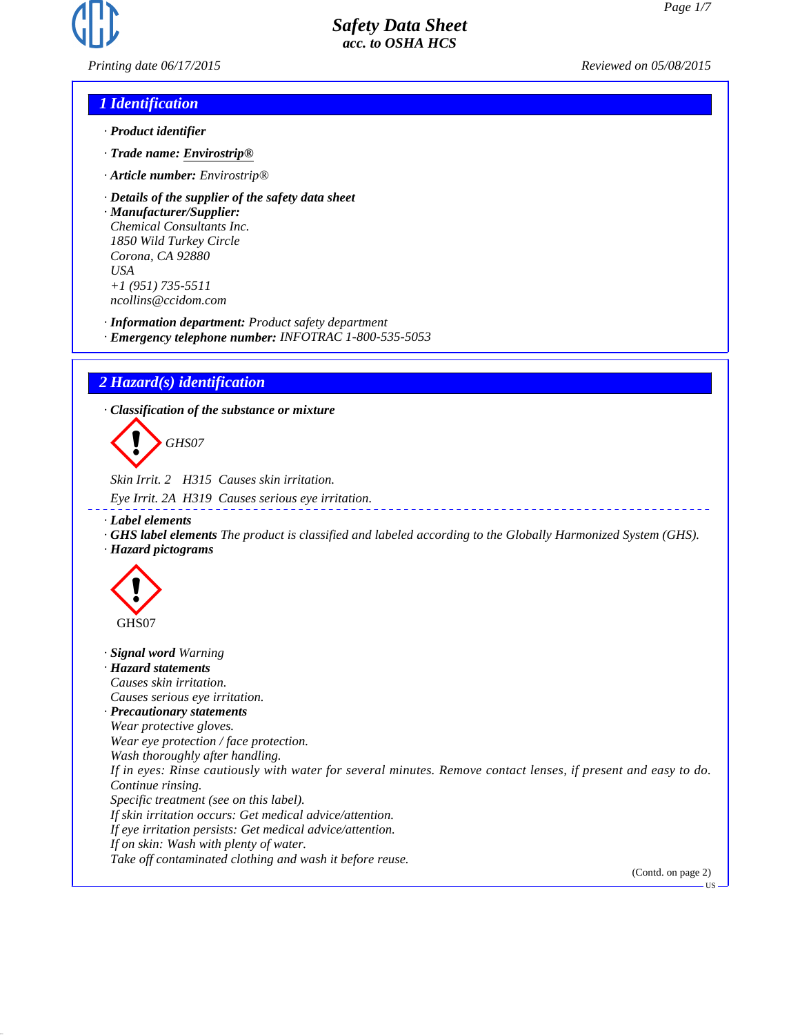

*Printing date 06/17/2015 Reviewed on 05/08/2015*

### *1 Identification*

- *· Product identifier*
- *· Trade name: Envirostrip®*
- *· Article number: Envirostrip®*
- *· Details of the supplier of the safety data sheet*

*· Manufacturer/Supplier: Chemical Consultants Inc. 1850 Wild Turkey Circle Corona, CA 92880 USA +1 (951) 735-5511 ncollins@ccidom.com*

*· Information department: Product safety department*

*· Emergency telephone number: INFOTRAC 1-800-535-5053*

### *2 Hazard(s) identification*

*· Classification of the substance or mixture*

d~*GHS07*

*Skin Irrit. 2 H315 Causes skin irritation.*

*Eye Irrit. 2A H319 Causes serious eye irritation.*

*· Label elements*

*· GHS label elements The product is classified and labeled according to the Globally Harmonized System (GHS). · Hazard pictograms*



*· Signal word Warning · Hazard statements Causes skin irritation. Causes serious eye irritation. · Precautionary statements Wear protective gloves. Wear eye protection / face protection. Wash thoroughly after handling. If in eyes: Rinse cautiously with water for several minutes. Remove contact lenses, if present and easy to do. Continue rinsing. Specific treatment (see on this label). If skin irritation occurs: Get medical advice/attention. If eye irritation persists: Get medical advice/attention. If on skin: Wash with plenty of water. Take off contaminated clothing and wash it before reuse.* (Contd. on page 2)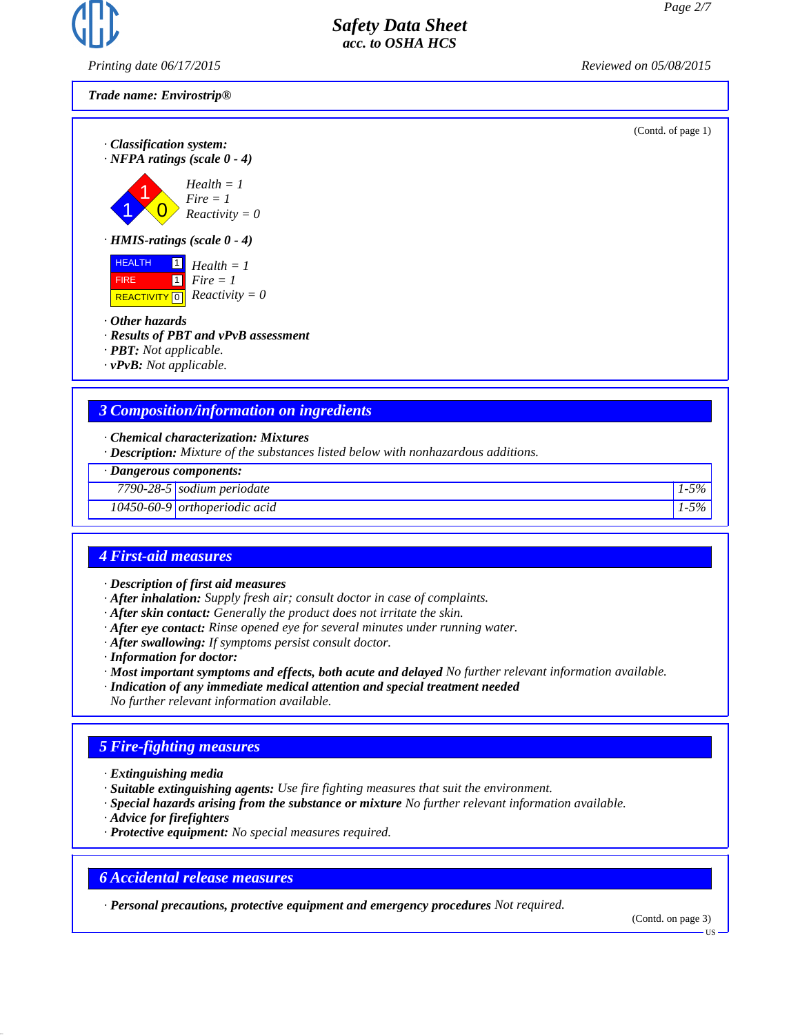

*Printing date 06/17/2015 Reviewed on 05/08/2015*

*Trade name: Envirostrip®*

(Contd. of page 1)

*· Classification system: · NFPA ratings (scale 0 - 4)*

$$
Health = 1
$$
\n
$$
Fire = 1
$$
\n
$$
Reactivity
$$

 $\overline{\mathbf{0}}$  $= 1$ *Reactivity* = 0

*· HMIS-ratings (scale 0 - 4)*



- *· Other hazards*
- *· Results of PBT and vPvB assessment*
- *· PBT: Not applicable.*
- *· vPvB: Not applicable.*

### *3 Composition/information on ingredients*

- *· Chemical characterization: Mixtures*
- *· Description: Mixture of the substances listed below with nonhazardous additions.*

*· Dangerous components:*

*7790-28-5 sodium periodate 1-5%*

*10450-60-9 orthoperiodic acid 1-5%*

### *4 First-aid measures*

- *· Description of first aid measures*
- *· After inhalation: Supply fresh air; consult doctor in case of complaints.*
- *· After skin contact: Generally the product does not irritate the skin.*
- *· After eye contact: Rinse opened eye for several minutes under running water.*
- *· After swallowing: If symptoms persist consult doctor.*
- *· Information for doctor:*
- *· Most important symptoms and effects, both acute and delayed No further relevant information available.*
- *· Indication of any immediate medical attention and special treatment needed*
- *No further relevant information available.*

### *5 Fire-fighting measures*

- *· Extinguishing media*
- *· Suitable extinguishing agents: Use fire fighting measures that suit the environment.*
- *· Special hazards arising from the substance or mixture No further relevant information available.*
- *· Advice for firefighters*
- *· Protective equipment: No special measures required.*

### *6 Accidental release measures*

*· Personal precautions, protective equipment and emergency procedures Not required.*

(Contd. on page 3)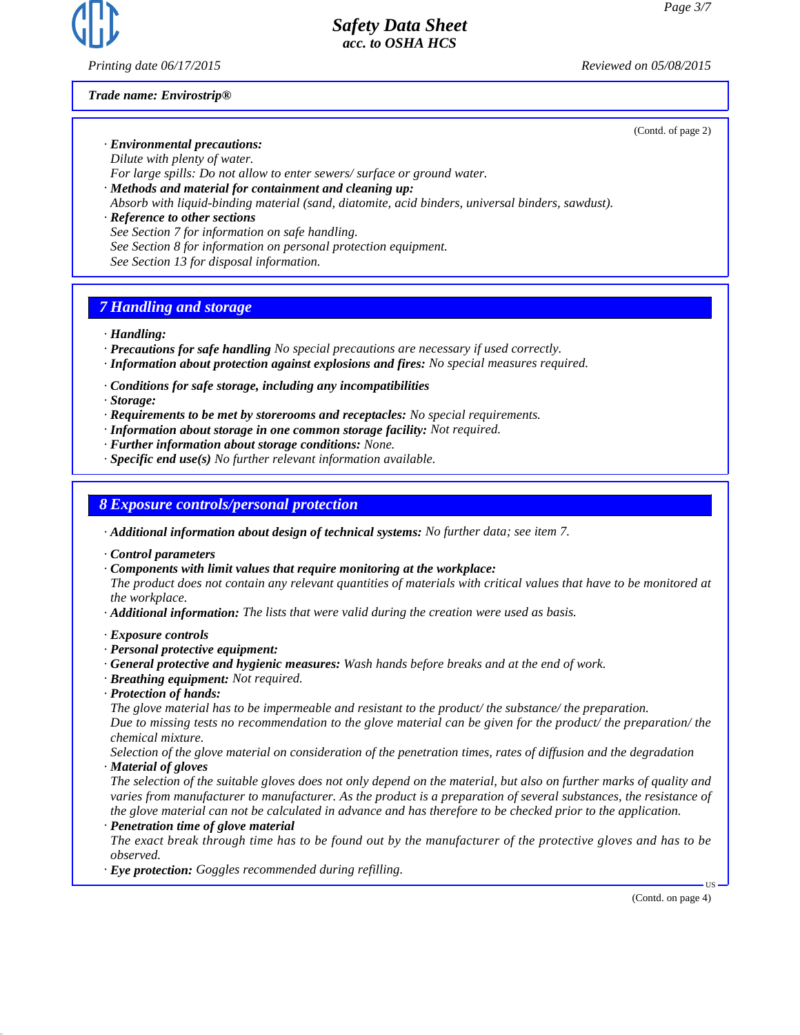

*Printing date 06/17/2015 Reviewed on 05/08/2015*

*Trade name: Envirostrip®*

(Contd. of page 2)

*· Environmental precautions: Dilute with plenty of water.*

*For large spills: Do not allow to enter sewers/ surface or ground water.*

*· Methods and material for containment and cleaning up:*

*Absorb with liquid-binding material (sand, diatomite, acid binders, universal binders, sawdust).*

*· Reference to other sections See Section 7 for information on safe handling. See Section 8 for information on personal protection equipment. See Section 13 for disposal information.*

# *7 Handling and storage*

*· Handling:*

- *· Precautions for safe handling No special precautions are necessary if used correctly.*
- *· Information about protection against explosions and fires: No special measures required.*

*· Conditions for safe storage, including any incompatibilities*

*· Storage:*

- *· Requirements to be met by storerooms and receptacles: No special requirements.*
- *· Information about storage in one common storage facility: Not required.*
- *· Further information about storage conditions: None.*
- *· Specific end use(s) No further relevant information available.*

### *8 Exposure controls/personal protection*

*· Additional information about design of technical systems: No further data; see item 7.*

*· Control parameters*

*· Components with limit values that require monitoring at the workplace:*

*The product does not contain any relevant quantities of materials with critical values that have to be monitored at the workplace.*

*· Additional information: The lists that were valid during the creation were used as basis.*

#### *· Exposure controls*

- *· Personal protective equipment:*
- *· General protective and hygienic measures: Wash hands before breaks and at the end of work.*
- *· Breathing equipment: Not required.*
- *· Protection of hands:*

*The glove material has to be impermeable and resistant to the product/ the substance/ the preparation. Due to missing tests no recommendation to the glove material can be given for the product/ the preparation/ the chemical mixture.*

*Selection of the glove material on consideration of the penetration times, rates of diffusion and the degradation · Material of gloves*

*The selection of the suitable gloves does not only depend on the material, but also on further marks of quality and varies from manufacturer to manufacturer. As the product is a preparation of several substances, the resistance of the glove material can not be calculated in advance and has therefore to be checked prior to the application.*

*· Penetration time of glove material*

*The exact break through time has to be found out by the manufacturer of the protective gloves and has to be observed.*

*· Eye protection: Goggles recommended during refilling.*

(Contd. on page 4)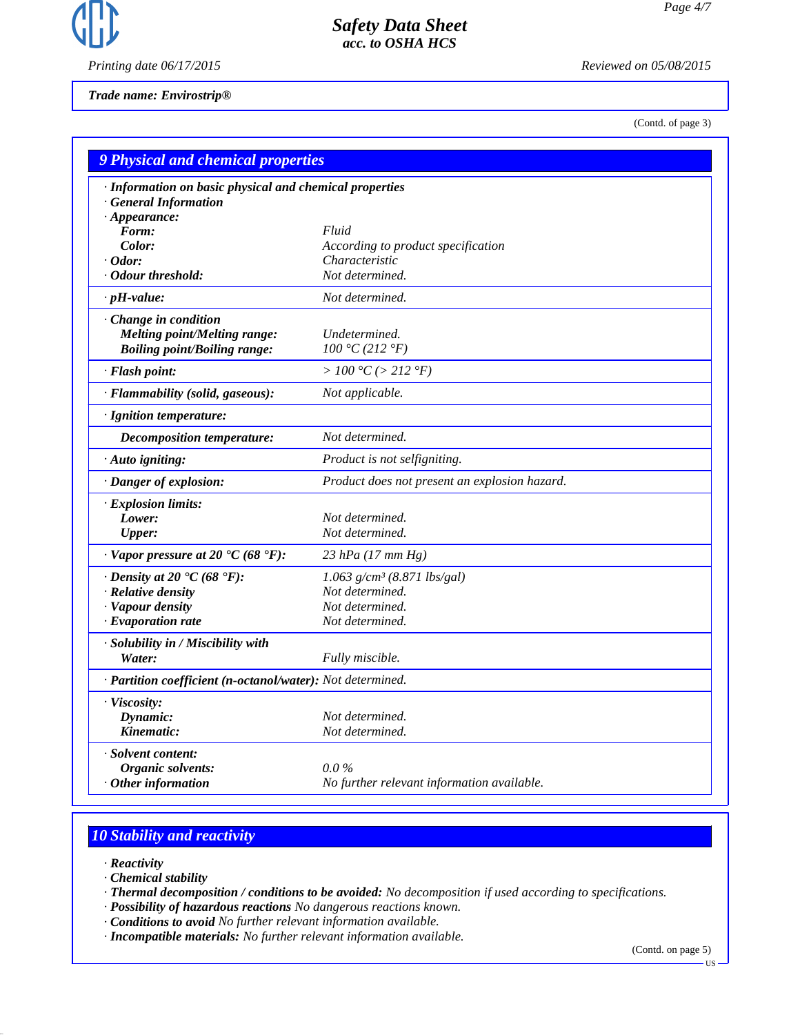

*Printing date 06/17/2015 Reviewed on 05/08/2015*

*Trade name: Envirostrip®*

(Contd. of page 3)

| <b>9 Physical and chemical properties</b>                   |                                               |  |
|-------------------------------------------------------------|-----------------------------------------------|--|
| · Information on basic physical and chemical properties     |                                               |  |
| <b>General Information</b>                                  |                                               |  |
| $\cdot$ Appearance:                                         |                                               |  |
| Form:                                                       | Fluid                                         |  |
| Color:                                                      | According to product specification            |  |
| $\cdot$ Odor:                                               | Characteristic                                |  |
| · Odour threshold:                                          | Not determined.                               |  |
| $\cdot$ pH-value:                                           | Not determined.                               |  |
| · Change in condition                                       |                                               |  |
| <b>Melting point/Melting range:</b>                         | Undetermined.                                 |  |
| <b>Boiling point/Boiling range:</b>                         | 100 °C (212 °F)                               |  |
| · Flash point:                                              | > 100 °C (> 212 °F)                           |  |
| · Flammability (solid, gaseous):                            | Not applicable.                               |  |
| · Ignition temperature:                                     |                                               |  |
| <b>Decomposition temperature:</b>                           | Not determined.                               |  |
| · Auto igniting:                                            | Product is not selfigniting.                  |  |
| · Danger of explosion:                                      | Product does not present an explosion hazard. |  |
| · Explosion limits:                                         |                                               |  |
| Lower:                                                      | Not determined.                               |  |
| <b>Upper:</b>                                               | Not determined.                               |  |
| $\cdot$ Vapor pressure at 20 $\cdot$ C (68 $\cdot$ F):      | $23$ hPa (17 mm Hg)                           |  |
| $\cdot$ Density at 20 $\textdegree$ C (68 $\textdegree$ F): | $1.063$ g/cm <sup>3</sup> (8.871 lbs/gal)     |  |
| · Relative density                                          | Not determined.                               |  |
| · Vapour density                                            | Not determined.                               |  |
| $\cdot$ Evaporation rate                                    | Not determined.                               |  |
| · Solubility in / Miscibility with                          |                                               |  |
| Water:                                                      | Fully miscible.                               |  |
| · Partition coefficient (n-octanol/water): Not determined.  |                                               |  |
| · Viscosity:                                                |                                               |  |
| Dynamic:                                                    | Not determined.                               |  |
| Kinematic:                                                  | Not determined.                               |  |
| · Solvent content:                                          |                                               |  |
| Organic solvents:                                           | $0.0\,\%$                                     |  |
| $\cdot$ Other information                                   | No further relevant information available.    |  |

# *10 Stability and reactivity*

- *· Reactivity*
- *· Chemical stability*
- *· Thermal decomposition / conditions to be avoided: No decomposition if used according to specifications.*
- *· Possibility of hazardous reactions No dangerous reactions known.*
- *· Conditions to avoid No further relevant information available.*
- *· Incompatible materials: No further relevant information available.*

(Contd. on page 5)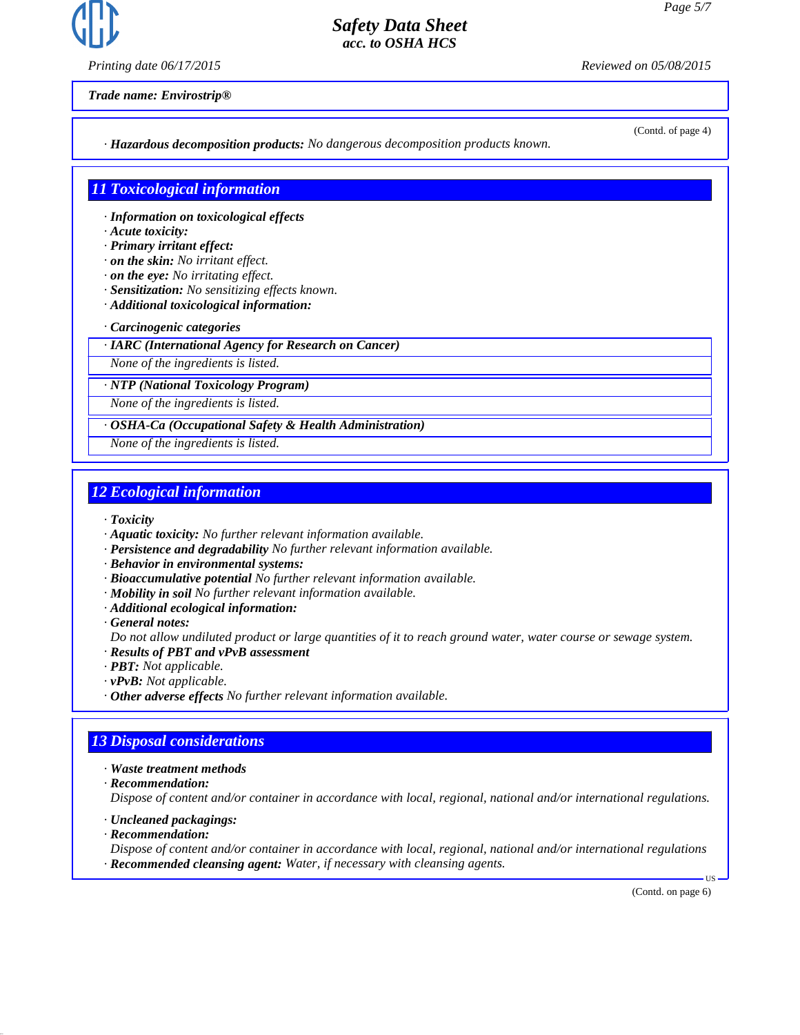

*Printing date 06/17/2015 Reviewed on 05/08/2015*

(Contd. of page 4)

*Trade name: Envirostrip®*

*· Hazardous decomposition products: No dangerous decomposition products known.*

### *11 Toxicological information*

- *· Information on toxicological effects*
- *· Acute toxicity:*
- *· Primary irritant effect:*
- *· on the skin: No irritant effect.*
- *· on the eye: No irritating effect.*
- *· Sensitization: No sensitizing effects known.*
- *· Additional toxicological information:*
- *· Carcinogenic categories*
- *· IARC (International Agency for Research on Cancer)*

*None of the ingredients is listed.*

*· NTP (National Toxicology Program)*

*None of the ingredients is listed.*

#### *· OSHA-Ca (Occupational Safety & Health Administration)*

*None of the ingredients is listed.*

### *12 Ecological information*

- *· Toxicity*
- *· Aquatic toxicity: No further relevant information available.*
- *· Persistence and degradability No further relevant information available.*
- *· Behavior in environmental systems:*
- *· Bioaccumulative potential No further relevant information available.*
- *· Mobility in soil No further relevant information available.*
- *· Additional ecological information:*
- *· General notes:*
- *Do not allow undiluted product or large quantities of it to reach ground water, water course or sewage system.*
- *· Results of PBT and vPvB assessment*
- *· PBT: Not applicable.*
- *· vPvB: Not applicable.*
- *· Other adverse effects No further relevant information available.*

### *13 Disposal considerations*

- *· Waste treatment methods*
- *· Recommendation:*

*Dispose of content and/or container in accordance with local, regional, national and/or international regulations.*

- *· Uncleaned packagings:*
- *· Recommendation:*

*Dispose of content and/or container in accordance with local, regional, national and/or international regulations · Recommended cleansing agent: Water, if necessary with cleansing agents.*

(Contd. on page 6)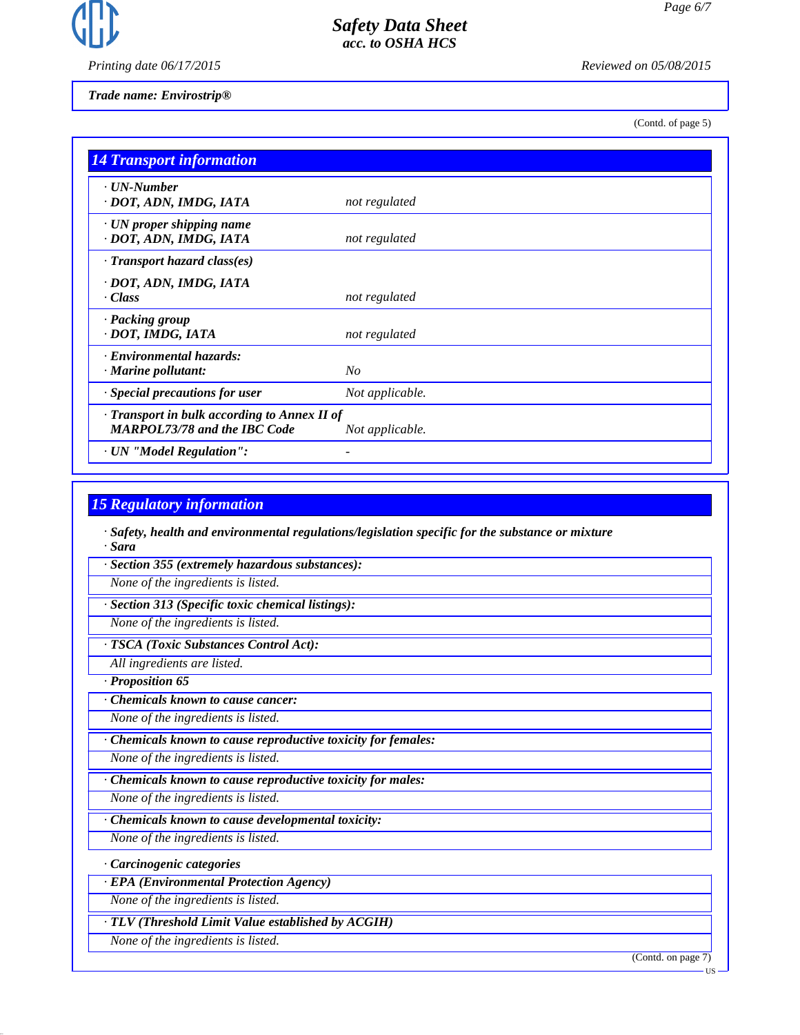

*Printing date 06/17/2015 Reviewed on 05/08/2015*

*Trade name: Envirostrip®*

(Contd. of page 5)

| <b>14 Transport information</b>                                                     |                 |
|-------------------------------------------------------------------------------------|-----------------|
| · UN-Number<br>· DOT, ADN, IMDG, IATA                                               | not regulated   |
| $\cdot$ UN proper shipping name<br>· DOT, ADN, IMDG, IATA                           | not regulated   |
| $\cdot$ Transport hazard class(es)                                                  |                 |
| · DOT, ADN, IMDG, IATA<br>· Class                                                   | not regulated   |
| · Packing group<br>· DOT, IMDG, IATA                                                | not regulated   |
| · Environmental hazards:<br>· Marine pollutant:                                     | No              |
| · Special precautions for user                                                      | Not applicable. |
| · Transport in bulk according to Annex II of<br><b>MARPOL73/78 and the IBC Code</b> | Not applicable. |
| · UN "Model Regulation":                                                            |                 |

## *15 Regulatory information*

*· Safety, health and environmental regulations/legislation specific for the substance or mixture · Sara*

*· Section 355 (extremely hazardous substances):*

*None of the ingredients is listed.*

*· Section 313 (Specific toxic chemical listings):*

*None of the ingredients is listed.*

*· TSCA (Toxic Substances Control Act):*

*All ingredients are listed.*

*· Proposition 65*

*· Chemicals known to cause cancer:*

*None of the ingredients is listed.*

*· Chemicals known to cause reproductive toxicity for females:*

*None of the ingredients is listed.*

*· Chemicals known to cause reproductive toxicity for males:*

*None of the ingredients is listed.*

*· Chemicals known to cause developmental toxicity:*

*None of the ingredients is listed.*

*· Carcinogenic categories*

*· EPA (Environmental Protection Agency)*

*None of the ingredients is listed.*

*· TLV (Threshold Limit Value established by ACGIH)*

*None of the ingredients is listed.*

(Contd. on page 7)

US